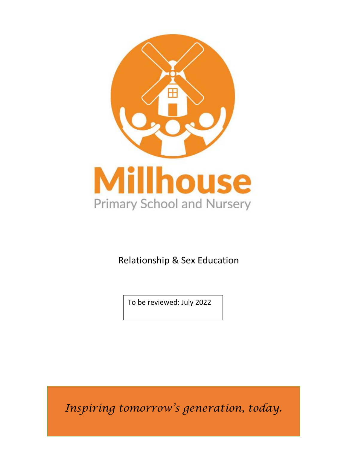

Relationship & Sex Education

To be reviewed: July 2022

*Inspiring tomorrow's generation, today.*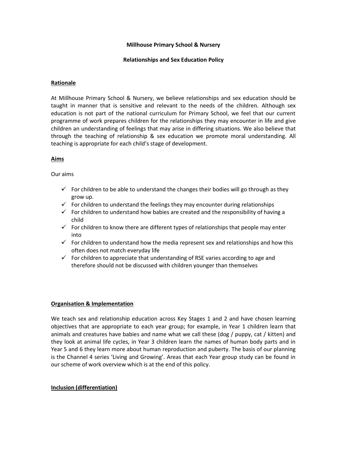## **Millhouse Primary School & Nursery**

#### **Relationships and Sex Education Policy**

## **Rationale**

At Millhouse Primary School & Nursery, we believe relationships and sex education should be taught in manner that is sensitive and relevant to the needs of the children. Although sex education is not part of the national curriculum for Primary School, we feel that our current programme of work prepares children for the relationships they may encounter in life and give children an understanding of feelings that may arise in differing situations. We also believe that through the teaching of relationship & sex education we promote moral understanding. All teaching is appropriate for each child's stage of development.

## **Aims**

## Our aims

- $\checkmark$  For children to be able to understand the changes their bodies will go through as they grow up.
- $\checkmark$  For children to understand the feelings they may encounter during relationships
- $\checkmark$  For children to understand how babies are created and the responsibility of having a child
- $\checkmark$  For children to know there are different types of relationships that people may enter into
- $\checkmark$  For children to understand how the media represent sex and relationships and how this often does not match everyday life
- $\checkmark$  For children to appreciate that understanding of RSE varies according to age and therefore should not be discussed with children younger than themselves

#### **Organisation & Implementation**

We teach sex and relationship education across Key Stages 1 and 2 and have chosen learning objectives that are appropriate to each year group; for example, in Year 1 children learn that animals and creatures have babies and name what we call these (dog / puppy, cat / kitten) and they look at animal life cycles, in Year 3 children learn the names of human body parts and in Year 5 and 6 they learn more about human reproduction and puberty. The basis of our planning is the Channel 4 series 'Living and Growing'. Areas that each Year group study can be found in our scheme of work overview which is at the end of this policy.

#### **Inclusion (differentiation)**